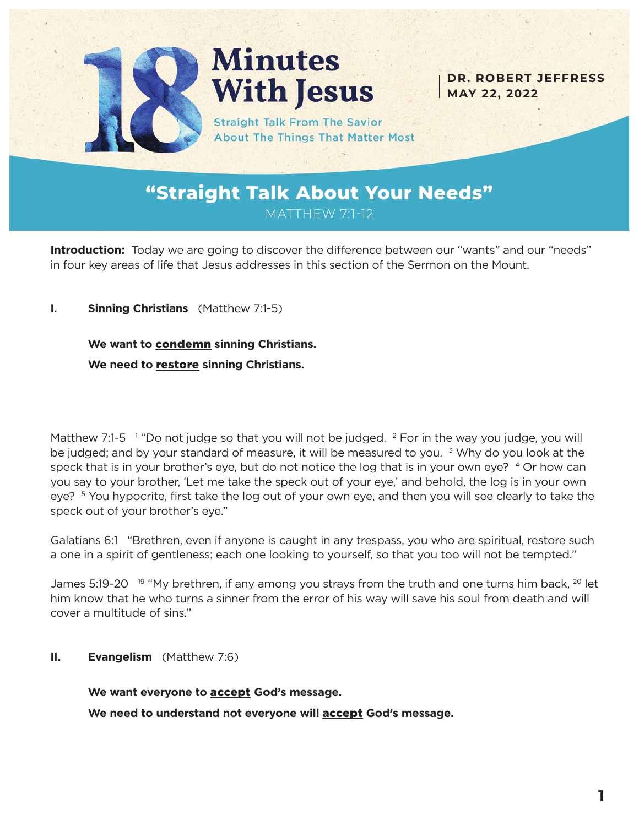

# **Minutes With Jesus**

**DR. ROBERT JEFFRESS MAY 22, 2022**

**Straight Talk From The Savior About The Things That Matter Most** 

## **"Straight Talk About Your Needs"** MATTHEW 7:1-12

**Introduction:** Today we are going to discover the difference between our "wants" and our "needs" in four key areas of life that Jesus addresses in this section of the Sermon on the Mount.

**I. Sinning Christians** (Matthew 7:1-5)

#### **We want to** condemn **sinning Christians.**

**We need to** restore **sinning Christians.**

Matthew 7:1-5  $^{-1}$  "Do not judge so that you will not be judged.  $^{2}$  For in the way you judge, you will be judged; and by your standard of measure, it will be measured to you.  $3$  Why do you look at the speck that is in your brother's eye, but do not notice the log that is in your own eye? 4 Or how can you say to your brother, 'Let me take the speck out of your eye,' and behold, the log is in your own eye? <sup>5</sup> You hypocrite, first take the log out of your own eye, and then you will see clearly to take the speck out of your brother's eye."

Galatians 6:1 "Brethren, even if anyone is caught in any trespass, you who are spiritual, restore such a one in a spirit of gentleness; each one looking to yourself, so that you too will not be tempted."

James 5:19-20<sup>19</sup> "My brethren, if any among you strays from the truth and one turns him back, <sup>20</sup> let him know that he who turns a sinner from the error of his way will save his soul from death and will cover a multitude of sins."

**II. Evangelism** (Matthew 7:6)

**We want everyone to** accept **God's message.**

**We need to understand not everyone will** accept **God's message.**